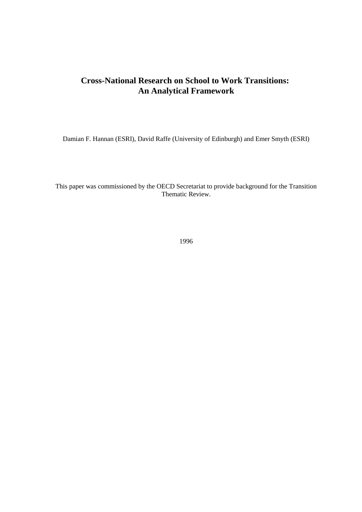## **Cross-National Research on School to Work Transitions: An Analytical Framework**

Damian F. Hannan (ESRI), David Raffe (University of Edinburgh) and Emer Smyth (ESRI)

This paper was commissioned by the OECD Secretariat to provide background for the Transition Thematic Review.

1996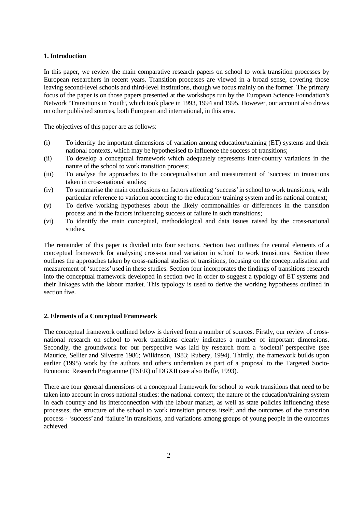## **1. Introduction**

In this paper, we review the main comparative research papers on school to work transition processes by European researchers in recent years. Transition processes are viewed in a broad sense, covering those leaving second-level schools and third-level institutions, though we focus mainly on the former. The primary focus of the paper is on those papers presented at the workshops run by the European Science Foundation's Network 'Transitions in Youth', which took place in 1993, 1994 and 1995. However, our account also draws on other published sources, both European and international, in this area.

The objectives of this paper are as follows:

- (i) To identify the important dimensions of variation among education/training (ET) systems and their national contexts, which may be hypothesised to influence the success of transitions;
- (ii) To develop a conceptual framework which adequately represents inter-country variations in the nature of the school to work transition process;
- (iii) To analyse the approaches to the conceptualisation and measurement of 'success' in transitions taken in cross-national studies;
- (iv) To summarise the main conclusions on factors affecting 'success' in school to work transitions, with particular reference to variation according to the education/ training system and its national context;
- (v) To derive working hypotheses about the likely commonalities or differences in the transition process and in the factors influencing success or failure in such transitions;
- (vi) To identify the main conceptual, methodological and data issues raised by the cross-national studies.

The remainder of this paper is divided into four sections. Section two outlines the central elements of a conceptual framework for analysing cross-national variation in school to work transitions. Section three outlines the approaches taken by cross-national studies of transitions, focusing on the conceptualisation and measurement of 'success' used in these studies. Section four incorporates the findings of transitions research into the conceptual framework developed in section two in order to suggest a typology of ET systems and their linkages with the labour market. This typology is used to derive the working hypotheses outlined in section five.

## **2. Elements of a Conceptual Framework**

The conceptual framework outlined below is derived from a number of sources. Firstly, our review of crossnational research on school to work transitions clearly indicates a number of important dimensions. Secondly, the groundwork for our perspective was laid by research from a 'societal' perspective (see Maurice, Sellier and Silvestre 1986; Wilkinson, 1983; Rubery, 1994). Thirdly, the framework builds upon earlier (1995) work by the authors and others undertaken as part of a proposal to the Targeted Socio-Economic Research Programme (TSER) of DGXII (see also Raffe, 1993).

There are four general dimensions of a conceptual framework for school to work transitions that need to be taken into account in cross-national studies: the national context; the nature of the education/training system in each country and its interconnection with the labour market, as well as state policies influencing these processes; the structure of the school to work transition process itself; and the outcomes of the transition process - 'success' and 'failure' in transitions, and variations among groups of young people in the outcomes achieved.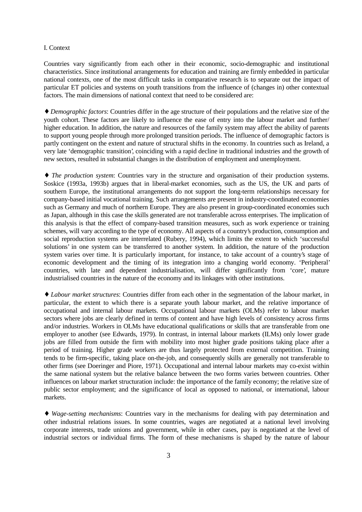#### I. Context

Countries vary significantly from each other in their economic, socio-demographic and institutional characteristics. Since institutional arrangements for education and training are firmly embedded in particular national contexts, one of the most difficult tasks in comparative research is to separate out the impact of particular ET policies and systems on youth transitions from the influence of (changes in) other contextual factors. The main dimensions of national context that need to be considered are:

♦ *Demographic factors*: Countries differ in the age structure of their populations and the relative size of the youth cohort. These factors are likely to influence the ease of entry into the labour market and further/ higher education. In addition, the nature and resources of the family system may affect the ability of parents to support young people through more prolonged transition periods. The influence of demographic factors is partly contingent on the extent and nature of structural shifts in the economy. In countries such as Ireland, a very late 'demographic transition', coinciding with a rapid decline in traditional industries and the growth of new sectors, resulted in substantial changes in the distribution of employment and unemployment.

♦ *The production system*: Countries vary in the structure and organisation of their production systems. Soskice (1993a, 1993b) argues that in liberal-market economies, such as the US, the UK and parts of southern Europe, the institutional arrangements do not support the long-term relationships necessary for company-based initial vocational training. Such arrangements are present in industry-coordinated economies such as Germany and much of northern Europe. They are also present in group-coordinated economies such as Japan, although in this case the skills generated are not transferable across enterprises. The implication of this analysis is that the effect of company-based transition measures, such as work experience or training schemes, will vary according to the type of economy. All aspects of a country's production, consumption and social reproduction systems are interrelated (Rubery, 1994), which limits the extent to which 'successful solutions' in one system can be transferred to another system. In addition, the nature of the production system varies over time. It is particularly important, for instance, to take account of a country's stage of economic development and the timing of its integration into a changing world economy. 'Peripheral' countries, with late and dependent industrialisation, will differ significantly from 'core', mature industrialised countries in the nature of the economy and its linkages with other institutions.

♦ *Labour market structures*: Countries differ from each other in the segmentation of the labour market, in particular, the extent to which there is a separate youth labour market, and the relative importance of occupational and internal labour markets. Occupational labour markets (OLMs) refer to labour market sectors where jobs are clearly defined in terms of content and have high levels of consistency across firms and/or industries. Workers in OLMs have educational qualifications or skills that are transferable from one employer to another (see Edwards, 1979). In contrast, in internal labour markets (ILMs) only lower grade jobs are filled from outside the firm with mobility into most higher grade positions taking place after a period of training. Higher grade workers are thus largely protected from external competition. Training tends to be firm-specific, taking place on-the-job, and consequently skills are generally not transferable to other firms (see Doeringer and Piore, 1971). Occupational and internal labour markets may co-exist within the same national system but the relative balance between the two forms varies between countries. Other influences on labour market structuration include: the importance of the family economy; the relative size of public sector employment; and the significance of local as opposed to national, or international, labour markets.

♦ *Wage-setting mechanisms*: Countries vary in the mechanisms for dealing with pay determination and other industrial relations issues. In some countries, wages are negotiated at a national level involving corporate interests, trade unions and government, while in other cases, pay is negotiated at the level of industrial sectors or individual firms. The form of these mechanisms is shaped by the nature of labour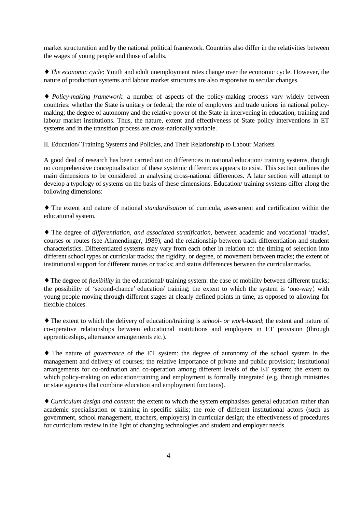market structuration and by the national political framework. Countries also differ in the relativities between the wages of young people and those of adults.

♦ *The economic cycle*: Youth and adult unemployment rates change over the economic cycle. However, the nature of production systems and labour market structures are also responsive to secular changes.

♦ *Policy-making framework*: a number of aspects of the policy-making process vary widely between countries: whether the State is unitary or federal; the role of employers and trade unions in national policymaking; the degree of autonomy and the relative power of the State in intervening in education, training and labour market institutions. Thus, the nature, extent and effectiveness of State policy interventions in ET systems and in the transition process are cross-nationally variable.

II. Education/ Training Systems and Policies, and Their Relationship to Labour Markets

A good deal of research has been carried out on differences in national education/ training systems, though no comprehensive conceptualisation of these systemic differences appears to exist. This section outlines the main dimensions to be considered in analysing cross-national differences. A later section will attempt to develop a typology of systems on the basis of these dimensions. Education/ training systems differ along the following dimensions:

♦ The extent and nature of national *standardisation* of curricula, assessment and certification within the educational system.

♦ The degree of *differentiation*, *and associated stratification*, between academic and vocational 'tracks', courses or routes (see Allmendinger, 1989); and the relationship between track differentiation and student characteristics. Differentiated systems may vary from each other in relation to: the timing of selection into different school types or curricular tracks; the rigidity, or degree, of movement between tracks; the extent of institutional support for different routes or tracks; and status differences between the curricular tracks.

♦ The degree of *flexibility* in the educational/ training system: the ease of mobility between different tracks; the possibility of 'second-chance' education/ training; the extent to which the system is 'one-way', with young people moving through different stages at clearly defined points in time, as opposed to allowing for flexible choices.

♦ The extent to which the delivery of education/training is *school- or work-based*; the extent and nature of co-operative relationships between educational institutions and employers in ET provision (through apprenticeships, alternance arrangements etc.).

♦ The nature of *governance* of the ET system: the degree of autonomy of the school system in the management and delivery of courses; the relative importance of private and public provision; institutional arrangements for co-ordination and co-operation among different levels of the ET system; the extent to which policy-making on education/training and employment is formally integrated (e.g. through ministries or state agencies that combine education and employment functions).

♦ *Curriculum design and content*: the extent to which the system emphasises general education rather than academic specialisation or training in specific skills; the role of different institutional actors (such as government, school management, teachers, employers) in curricular design; the effectiveness of procedures for curriculum review in the light of changing technologies and student and employer needs.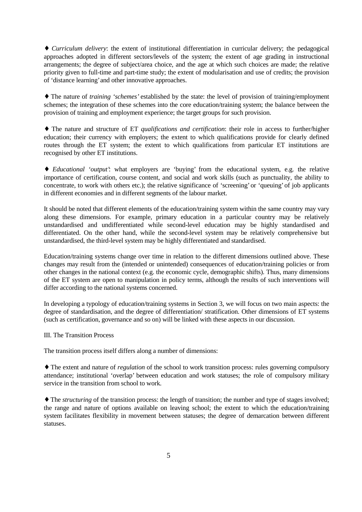♦ *Curriculum delivery*: the extent of institutional differentiation in curricular delivery; the pedagogical approaches adopted in different sectors/levels of the system; the extent of age grading in instructional arrangements; the degree of subject/area choice, and the age at which such choices are made; the relative priority given to full-time and part-time study; the extent of modularisation and use of credits; the provision of 'distance learning' and other innovative approaches.

♦ The nature of *training 'schemes'* established by the state: the level of provision of training/employment schemes; the integration of these schemes into the core education/training system; the balance between the provision of training and employment experience; the target groups for such provision.

♦ The nature and structure of ET *qualifications and certification*: their role in access to further/higher education; their currency with employers; the extent to which qualifications provide for clearly defined routes through the ET system; the extent to which qualifications from particular ET institutions are recognised by other ET institutions.

♦ *Educational 'output'*: what employers are 'buying' from the educational system, e.g. the relative importance of certification, course content, and social and work skills (such as punctuality, the ability to concentrate, to work with others etc.); the relative significance of 'screening' or 'queuing' of job applicants in different economies and in different segments of the labour market.

It should be noted that different elements of the education/training system within the same country may vary along these dimensions. For example, primary education in a particular country may be relatively unstandardised and undifferentiated while second-level education may be highly standardised and differentiated. On the other hand, while the second-level system may be relatively comprehensive but unstandardised, the third-level system may be highly differentiated and standardised.

Education/training systems change over time in relation to the different dimensions outlined above. These changes may result from the (intended or unintended) consequences of education/training policies or from other changes in the national context (e.g. the economic cycle, demographic shifts). Thus, many dimensions of the ET system are open to manipulation in policy terms, although the results of such interventions will differ according to the national systems concerned.

In developing a typology of education/training systems in Section 3, we will focus on two main aspects: the degree of standardisation, and the degree of differentiation/ stratification. Other dimensions of ET systems (such as certification, governance and so on) will be linked with these aspects in our discussion.

## III. The Transition Process

The transition process itself differs along a number of dimensions:

♦ The extent and nature of *regulation* of the school to work transition process: rules governing compulsory attendance; institutional 'overlap' between education and work statuses; the role of compulsory military service in the transition from school to work.

♦ The *structuring* of the transition process: the length of transition; the number and type of stages involved; the range and nature of options available on leaving school; the extent to which the education/training system facilitates flexibility in movement between statuses; the degree of demarcation between different statuses.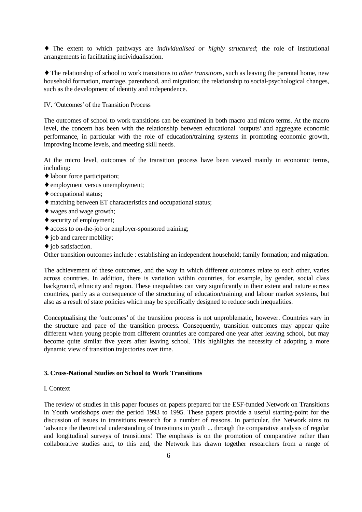♦ The extent to which pathways are *individualised or highly structured*; the role of institutional arrangements in facilitating individualisation.

♦ The relationship of school to work transitions to *other transitions*, such as leaving the parental home, new household formation, marriage, parenthood, and migration; the relationship to social-psychological changes, such as the development of identity and independence.

IV. 'Outcomes' of the Transition Process

The outcomes of school to work transitions can be examined in both macro and micro terms. At the macro level, the concern has been with the relationship between educational 'outputs' and aggregate economic performance, in particular with the role of education/training systems in promoting economic growth, improving income levels, and meeting skill needs.

At the micro level, outcomes of the transition process have been viewed mainly in economic terms, including:

- ♦ labour force participation;
- ♦ employment versus unemployment;
- ♦ occupational status;
- ♦ matching between ET characteristics and occupational status;
- ♦ wages and wage growth;
- ♦ security of employment;
- ♦ access to on-the-job or employer-sponsored training;
- ♦ job and career mobility;
- ♦ job satisfaction.

Other transition outcomes include : establishing an independent household; family formation; and migration.

The achievement of these outcomes, and the way in which different outcomes relate to each other, varies across countries. In addition, there is variation within countries, for example, by gender, social class background, ethnicity and region. These inequalities can vary significantly in their extent and nature across countries, partly as a consequence of the structuring of education/training and labour market systems, but also as a result of state policies which may be specifically designed to reduce such inequalities.

Conceptualising the 'outcomes' of the transition process is not unproblematic, however. Countries vary in the structure and pace of the transition process. Consequently, transition outcomes may appear quite different when young people from different countries are compared one year after leaving school, but may become quite similar five years after leaving school. This highlights the necessity of adopting a more dynamic view of transition trajectories over time.

## **3. Cross-National Studies on School to Work Transitions**

## I. Context

The review of studies in this paper focuses on papers prepared for the ESF-funded Network on Transitions in Youth workshops over the period 1993 to 1995. These papers provide a useful starting-point for the discussion of issues in transitions research for a number of reasons. In particular, the Network aims to 'advance the theoretical understanding of transitions in youth ... through the comparative analysis of regular and longitudinal surveys of transitions'. The emphasis is on the promotion of comparative rather than collaborative studies and, to this end, the Network has drawn together researchers from a range of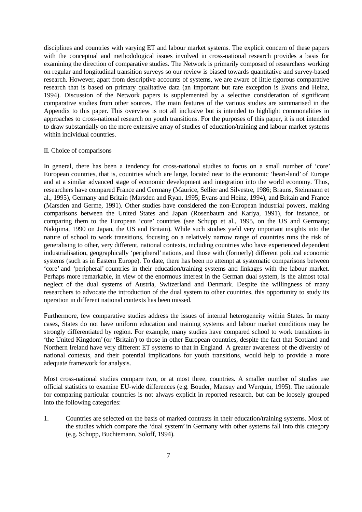disciplines and countries with varying ET and labour market systems. The explicit concern of these papers with the conceptual and methodological issues involved in cross-national research provides a basis for examining the direction of comparative studies. The Network is primarily composed of researchers working on regular and longitudinal transition surveys so our review is biased towards quantitative and survey-based research. However, apart from descriptive accounts of systems, we are aware of little rigorous comparative research that is based on primary qualitative data (an important but rare exception is Evans and Heinz, 1994). Discussion of the Network papers is supplemented by a selective consideration of significant comparative studies from other sources. The main features of the various studies are summarised in the Appendix to this paper. This overview is not all inclusive but is intended to highlight commonalities in approaches to cross-national research on youth transitions. For the purposes of this paper, it is not intended to draw substantially on the more extensive array of studies of education/training and labour market systems within individual countries.

#### II. Choice of comparisons

In general, there has been a tendency for cross-national studies to focus on a small number of 'core' European countries, that is, countries which are large, located near to the economic 'heart-land' of Europe and at a similar advanced stage of economic development and integration into the world economy. Thus, researchers have compared France and Germany (Maurice, Sellier and Silvestre, 1986; Brauns, Steinmann et al., 1995), Germany and Britain (Marsden and Ryan, 1995; Evans and Heinz, 1994), and Britain and France (Marsden and Germe, 1991). Other studies have considered the non-European industrial powers, making comparisons between the United States and Japan (Rosenbaum and Kariya, 1991), for instance, or comparing them to the European 'core' countries (see Schupp et al., 1995, on the US and Germany; Nakijima, 1990 on Japan, the US and Britain). While such studies yield very important insights into the nature of school to work transitions, focusing on a relatively narrow range of countries runs the risk of generalising to other, very different, national contexts, including countries who have experienced dependent industrialisation, geographically 'peripheral' nations, and those with (formerly) different political economic systems (such as in Eastern Europe). To date, there has been no attempt at systematic comparisons between 'core' and 'peripheral' countries in their education/training systems and linkages with the labour market. Perhaps more remarkable, in view of the enormous interest in the German dual system, is the almost total neglect of the dual systems of Austria, Switzerland and Denmark. Despite the willingness of many researchers to advocate the introduction of the dual system to other countries, this opportunity to study its operation in different national contexts has been missed.

Furthermore, few comparative studies address the issues of internal heterogeneity within States. In many cases, States do not have uniform education and training systems and labour market conditions may be strongly differentiated by region. For example, many studies have compared school to work transitions in 'the United Kingdom' (or 'Britain') to those in other European countries, despite the fact that Scotland and Northern Ireland have very different ET systems to that in England. A greater awareness of the diversity of national contexts, and their potential implications for youth transitions, would help to provide a more adequate framework for analysis.

Most cross-national studies compare two, or at most three, countries. A smaller number of studies use official statistics to examine EU-wide differences (e.g. Bouder, Mansuy and Werquin, 1995). The rationale for comparing particular countries is not always explicit in reported research, but can be loosely grouped into the following categories:

1. Countries are selected on the basis of marked contrasts in their education/training systems. Most of the studies which compare the 'dual system' in Germany with other systems fall into this category (e.g. Schupp, Buchtemann, Soloff, 1994).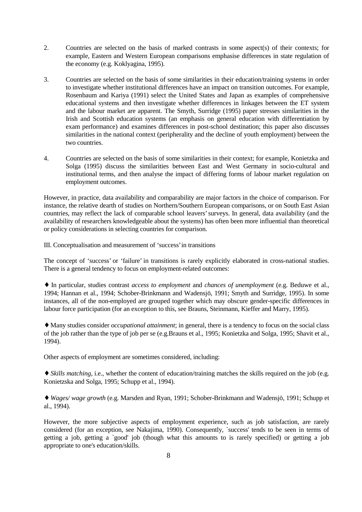- 2. Countries are selected on the basis of marked contrasts in some aspect(s) of their contexts; for example, Eastern and Western European comparisons emphasise differences in state regulation of the economy (e.g. Koklyagina, 1995).
- 3. Countries are selected on the basis of some similarities in their education/training systems in order to investigate whether institutional differences have an impact on transition outcomes. For example, Rosenbaum and Kariya (1991) select the United States and Japan as examples of comprehensive educational systems and then investigate whether differences in linkages between the ET system and the labour market are apparent. The Smyth, Surridge (1995) paper stresses similarities in the Irish and Scottish education systems (an emphasis on general education with differentiation by exam performance) and examines differences in post-school destination; this paper also discusses similarities in the national context (peripherality and the decline of youth employment) between the two countries.
- 4. Countries are selected on the basis of some similarities in their context; for example, Konietzka and Solga (1995) discuss the similarities between East and West Germany in socio-cultural and institutional terms, and then analyse the impact of differing forms of labour market regulation on employment outcomes.

However, in practice, data availability and comparability are major factors in the choice of comparison. For instance, the relative dearth of studies on Northern/Southern European comparisons, or on South East Asian countries, may reflect the lack of comparable school leavers' surveys. In general, data availability (and the availability of researchers knowledgeable about the systems) has often been more influential than theoretical or policy considerations in selecting countries for comparison.

III. Conceptualisation and measurement of 'success' in transitions

The concept of 'success' or 'failure' in transitions is rarely explicitly elaborated in cross-national studies. There is a general tendency to focus on employment-related outcomes:

♦ In particular, studies contrast *access to employment* and *chances of unemployment* (e.g. Beduwe et al., 1994; Hannan et al., 1994; Schober-Brinkmann and Wadensjö, 1991; Smyth and Surridge, 1995). In some instances, all of the non-employed are grouped together which may obscure gender-specific differences in labour force participation (for an exception to this, see Brauns, Steinmann, Kieffer and Marry, 1995).

♦ Many studies consider *occupational attainment*; in general, there is a tendency to focus on the social class of the job rather than the type of job per se (e.g.Brauns et al., 1995; Konietzka and Solga, 1995; Shavit et al., 1994).

Other aspects of employment are sometimes considered, including:

♦ *Skills matching*, i.e., whether the content of education/training matches the skills required on the job (e.g. Konietzska and Solga, 1995; Schupp et al., 1994).

♦ *Wages/ wage growth* (e.g. Marsden and Ryan, 1991; Schober-Brinkmann and Wadensjö, 1991; Schupp et al., 1994).

However, the more subjective aspects of employment experience, such as job satisfaction, are rarely considered (for an exception, see Nakajima, 1990). Consequently, `success' tends to be seen in terms of getting a job, getting a `good' job (though what this amounts to is rarely specified) or getting a job appropriate to one's education/skills.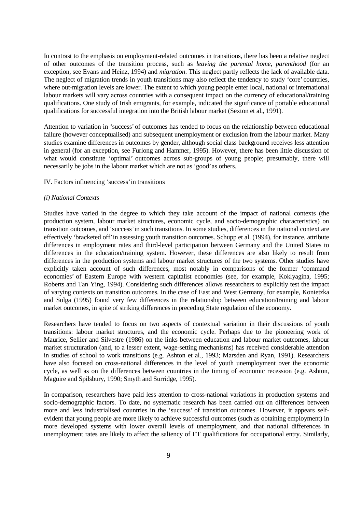In contrast to the emphasis on employment-related outcomes in transitions, there has been a relative neglect of other outcomes of the transition process, such as *leaving the parental home, parenthood* (for an exception, see Evans and Heinz, 1994) and *migration*. This neglect partly reflects the lack of available data. The neglect of migration trends in youth transitions may also reflect the tendency to study 'core' countries, where out-migration levels are lower. The extent to which young people enter local, national or international labour markets will vary across countries with a consequent impact on the currency of educational/training qualifications. One study of Irish emigrants, for example, indicated the significance of portable educational qualifications for successful integration into the British labour market (Sexton et al., 1991).

Attention to variation in 'success' of outcomes has tended to focus on the relationship between educational failure (however conceptualised) and subsequent unemployment or exclusion from the labour market. Many studies examine differences in outcomes by gender, although social class background receives less attention in general (for an exception, see Furlong and Hammer, 1995). However, there has been little discussion of what would constitute 'optimal' outcomes across sub-groups of young people; presumably, there will necessarily be jobs in the labour market which are not as 'good' as others.

## IV. Factors influencing 'success' in transitions

#### *(i) National Contexts*

Studies have varied in the degree to which they take account of the impact of national contexts (the production system, labour market structures, economic cycle, and socio-demographic characteristics) on transition outcomes, and 'success' in such transitions. In some studies, differences in the national context are effectively 'bracketed off' in assessing youth transition outcomes. Schupp et al. (1994), for instance, attribute differences in employment rates and third-level participation between Germany and the United States to differences in the education/training system. However, these differences are also likely to result from differences in the production systems and labour market structures of the two systems. Other studies have explicitly taken account of such differences, most notably in comparisons of the former 'command economies' of Eastern Europe with western capitalist economies (see, for example, Koklyagina, 1995; Roberts and Tan Ying, 1994). Considering such differences allows researchers to explicitly test the impact of varying contexts on transition outcomes. In the case of East and West Germany, for example, Konietzka and Solga (1995) found very few differences in the relationship between education/training and labour market outcomes, in spite of striking differences in preceding State regulation of the economy.

Researchers have tended to focus on two aspects of contextual variation in their discussions of youth transitions: labour market structures, and the economic cycle. Perhaps due to the pioneering work of Maurice, Sellier and Silvestre (1986) on the links between education and labour market outcomes, labour market structuration (and, to a lesser extent, wage-setting mechanisms) has received considerable attention in studies of school to work transitions (e.g. Ashton et al., 1993; Marsden and Ryan, 1991). Researchers have also focused on cross-national differences in the level of youth unemployment over the economic cycle, as well as on the differences between countries in the timing of economic recession (e.g. Ashton, Maguire and Spilsbury, 1990; Smyth and Surridge, 1995).

In comparison, researchers have paid less attention to cross-national variations in production systems and socio-demographic factors. To date, no systematic research has been carried out on differences between more and less industrialised countries in the 'success' of transition outcomes. However, it appears selfevident that young people are more likely to achieve successful outcomes (such as obtaining employment) in more developed systems with lower overall levels of unemployment, and that national differences in unemployment rates are likely to affect the saliency of ET qualifications for occupational entry. Similarly,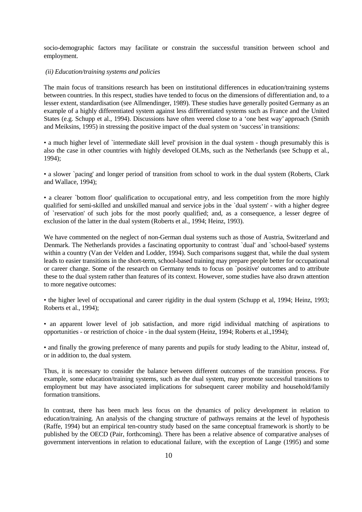socio-demographic factors may facilitate or constrain the successful transition between school and employment.

## *(ii) Education/training systems and policies*

The main focus of transitions research has been on institutional differences in education/training systems between countries. In this respect, studies have tended to focus on the dimensions of differentiation and, to a lesser extent, standardisation (see Allmendinger, 1989). These studies have generally posited Germany as an example of a highly differentiated system against less differentiated systems such as France and the United States (e.g. Schupp et al., 1994). Discussions have often veered close to a 'one best way' approach (Smith and Meiksins, 1995) in stressing the positive impact of the dual system on 'success' in transitions:

• a much higher level of `intermediate skill level' provision in the dual system - though presumably this is also the case in other countries with highly developed OLMs, such as the Netherlands (see Schupp et al., 1994);

• a slower `pacing' and longer period of transition from school to work in the dual system (Roberts, Clark and Wallace, 1994);

• a clearer `bottom floor' qualification to occupational entry, and less competition from the more highly qualified for semi-skilled and unskilled manual and service jobs in the `dual system' - with a higher degree of `reservation' of such jobs for the most poorly qualified; and, as a consequence, a lesser degree of exclusion of the latter in the dual system (Roberts et al., 1994; Heinz, 1993).

We have commented on the neglect of non-German dual systems such as those of Austria, Switzerland and Denmark. The Netherlands provides a fascinating opportunity to contrast `dual' and `school-based' systems within a country (Van der Velden and Lodder, 1994). Such comparisons suggest that, while the dual system leads to easier transitions in the short-term, school-based training may prepare people better for occupational or career change. Some of the research on Germany tends to focus on `positive' outcomes and to attribute these to the dual system rather than features of its context. However, some studies have also drawn attention to more negative outcomes:

• the higher level of occupational and career rigidity in the dual system (Schupp et al, 1994; Heinz, 1993; Roberts et al., 1994);

• an apparent lower level of job satisfaction, and more rigid individual matching of aspirations to opportunities - or restriction of choice - in the dual system (Heinz, 1994; Roberts et al.,1994);

• and finally the growing preference of many parents and pupils for study leading to the Abitur, instead of, or in addition to, the dual system.

Thus, it is necessary to consider the balance between different outcomes of the transition process. For example, some education/training systems, such as the dual system, may promote successful transitions to employment but may have associated implications for subsequent career mobility and household/family formation transitions.

In contrast, there has been much less focus on the dynamics of policy development in relation to education/training. An analysis of the changing structure of pathways remains at the level of hypothesis (Raffe, 1994) but an empirical ten-country study based on the same conceptual framework is shortly to be published by the OECD (Pair, forthcoming). There has been a relative absence of comparative analyses of government interventions in relation to educational failure, with the exception of Lange (1995) and some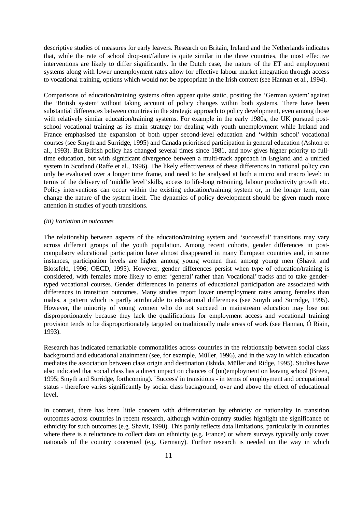descriptive studies of measures for early leavers. Research on Britain, Ireland and the Netherlands indicates that, while the rate of school drop-out/failure is quite similar in the three countries, the most effective interventions are likely to differ significantly. In the Dutch case, the nature of the ET and employment systems along with lower unemployment rates allow for effective labour market integration through access to vocational training, options which would not be appropriate in the Irish context (see Hannan et al., 1994).

Comparisons of education/training systems often appear quite static, positing the 'German system' against the 'British system' without taking account of policy changes within both systems. There have been substantial differences between countries in the strategic approach to policy development, even among those with relatively similar education/training systems. For example in the early 1980s, the UK pursued postschool vocational training as its main strategy for dealing with youth unemployment while Ireland and France emphasised the expansion of both upper second-level education and 'within school' vocational courses (see Smyth and Surridge, 1995) and Canada prioritised participation in general education (Ashton et al., 1993). But British policy has changed several times since 1981, and now gives higher priority to fulltime education, but with significant divergence between a multi-track approach in England and a unified system in Scotland (Raffe et al., 1996). The likely effectiveness of these differences in national policy can only be evaluated over a longer time frame, and need to be analysed at both a micro and macro level: in terms of the delivery of 'middle level' skills, access to life-long retraining, labour productivity growth etc. Policy interventions can occur within the existing education/training system or, in the longer term, can change the nature of the system itself. The dynamics of policy development should be given much more attention in studies of youth transitions.

## *(iii) Variation in outcomes*

The relationship between aspects of the education/training system and 'successful' transitions may vary across different groups of the youth population. Among recent cohorts, gender differences in postcompulsory educational participation have almost disappeared in many European countries and, in some instances, participation levels are higher among young women than among young men (Shavit and Blossfeld, 1996; OECD, 1995). However, gender differences persist when type of education/training is considered, with females more likely to enter 'general' rather than 'vocational' tracks and to take gendertyped vocational courses. Gender differences in patterns of educational participation are associated with differences in transition outcomes. Many studies report lower unemployment rates among females than males, a pattern which is partly attributable to educational differences (see Smyth and Surridge, 1995). However, the minority of young women who do not succeed in mainstream education may lose out disproportionately because they lack the qualifications for employment access and vocational training provision tends to be disproportionately targeted on traditionally male areas of work (see Hannan, Ó Riain, 1993).

Research has indicated remarkable commonalities across countries in the relationship between social class background and educational attainment (see, for example, Müller, 1996), and in the way in which education mediates the association between class origin and destination (Ishida, Müller and Ridge, 1995). Studies have also indicated that social class has a direct impact on chances of (un)employment on leaving school (Breen, 1995; Smyth and Surridge, forthcoming). `Success' in transitions - in terms of employment and occupational status - therefore varies significantly by social class background, over and above the effect of educational level.

In contrast, there has been little concern with differentiation by ethnicity or nationality in transition outcomes across countries in recent research, although within-country studies highlight the significance of ethnicity for such outcomes (e.g. Shavit, 1990). This partly reflects data limitations, particularly in countries where there is a reluctance to collect data on ethnicity (e.g. France) or where surveys typically only cover nationals of the country concerned (e.g. Germany). Further research is needed on the way in which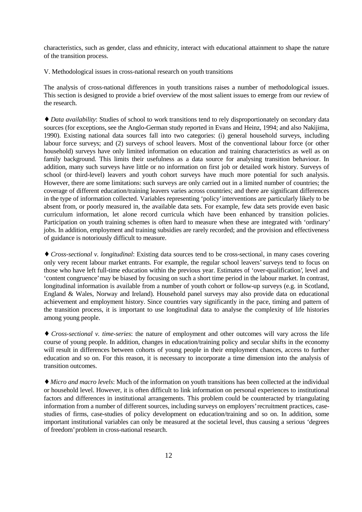characteristics, such as gender, class and ethnicity, interact with educational attainment to shape the nature of the transition process.

V. Methodological issues in cross-national research on youth transitions

The analysis of cross-national differences in youth transitions raises a number of methodological issues. This section is designed to provide a brief overview of the most salient issues to emerge from our review of the research.

♦ *Data availability*: Studies of school to work transitions tend to rely disproportionately on secondary data sources (for exceptions, see the Anglo-German study reported in Evans and Heinz, 1994; and also Nakijima, 1990). Existing national data sources fall into two categories: (i) general household surveys, including labour force surveys; and (2) surveys of school leavers. Most of the conventional labour force (or other household) surveys have only limited information on education and training characteristics as well as on family background. This limits their usefulness as a data source for analysing transition behaviour. In addition, many such surveys have little or no information on first job or detailed work history. Surveys of school (or third-level) leavers and youth cohort surveys have much more potential for such analysis. However, there are some limitations: such surveys are only carried out in a limited number of countries; the coverage of different education/training leavers varies across countries; and there are significant differences in the type of information collected. Variables representing 'policy' interventions are particularly likely to be absent from, or poorly measured in, the available data sets. For example, few data sets provide even basic curriculum information, let alone record curricula which have been enhanced by transition policies. Participation on youth training schemes is often hard to measure when these are integrated with 'ordinary' jobs. In addition, employment and training subsidies are rarely recorded; and the provision and effectiveness of guidance is notoriously difficult to measure.

♦ *Cross-sectional v. longitudinal*: Existing data sources tend to be cross-sectional, in many cases covering only very recent labour market entrants. For example, the regular school leavers' surveys tend to focus on those who have left full-time education within the previous year. Estimates of 'over-qualification', level and 'content congruence' may be biased by focusing on such a short time period in the labour market. In contrast, longitudinal information is available from a number of youth cohort or follow-up surveys (e.g. in Scotland, England & Wales, Norway and Ireland). Household panel surveys may also provide data on educational achievement and employment history. Since countries vary significantly in the pace, timing and pattern of the transition process, it is important to use longitudinal data to analyse the complexity of life histories among young people.

♦ *Cross-sectional v. time-series*: the nature of employment and other outcomes will vary across the life course of young people. In addition, changes in education/training policy and secular shifts in the economy will result in differences between cohorts of young people in their employment chances, access to further education and so on. For this reason, it is necessary to incorporate a time dimension into the analysis of transition outcomes.

♦ *Micro and macro levels*: Much of the information on youth transitions has been collected at the individual or household level. However, it is often difficult to link information on personal experiences to institutional factors and differences in institutional arrangements. This problem could be counteracted by triangulating information from a number of different sources, including surveys on employers' recruitment practices, casestudies of firms, case-studies of policy development on education/training and so on. In addition, some important institutional variables can only be measured at the societal level, thus causing a serious 'degrees of freedom' problem in cross-national research.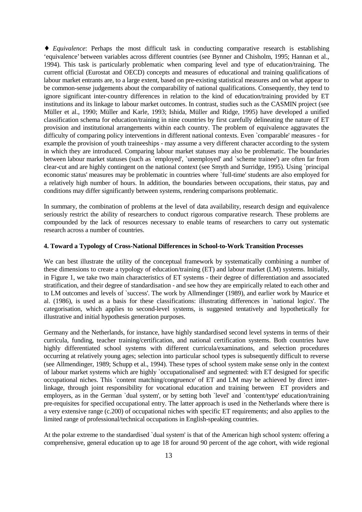♦ *Equivalence*: Perhaps the most difficult task in conducting comparative research is establishing 'equivalence' between variables across different countries (see Bynner and Chisholm, 1995; Hannan et al., 1994). This task is particularly problematic when comparing level and type of education/training. The current official (Eurostat and OECD) concepts and measures of educational and training qualifications of labour market entrants are, to a large extent, based on pre-existing statistical measures and on what appear to be common-sense judgements about the comparability of national qualifications. Consequently, they tend to ignore significant inter-country differences in relation to the kind of education/training provided by ET institutions and its linkage to labour market outcomes. In contrast, studies such as the CASMIN project (see Müller et al., 1990; Müller and Karle, 1993; Ishida, Müller and Ridge, 1995) have developed a unified classification schema for education/training in nine countries by first carefully delineating the nature of ET provision and institutional arrangements within each country. The problem of equivalence aggravates the difficulty of comparing policy interventions in different national contexts. Even `comparable' measures - for example the provision of youth traineeships - may assume a very different character according to the system in which they are introduced. Comparing labour market statuses may also be problematic. The boundaries between labour market statuses (such as `employed', `unemployed' and `scheme trainee') are often far from clear-cut and are highly contingent on the national context (see Smyth and Surridge, 1995). Using `principal economic status' measures may be problematic in countries where `full-time' students are also employed for a relatively high number of hours. In addition, the boundaries between occupations, their status, pay and conditions may differ significantly between systems, rendering comparisons problematic.

In summary, the combination of problems at the level of data availability, research design and equivalence seriously restrict the ability of researchers to conduct rigorous comparative research. These problems are compounded by the lack of resources necessary to enable teams of researchers to carry out systematic research across a number of countries.

## **4. Toward a Typology of Cross-National Differences in School-to-Work Transition Processes**

We can best illustrate the utility of the conceptual framework by systematically combining a number of these dimensions to create a typology of education/training (ET) and labour market (LM) systems. Initially, in Figure 1, we take two main characteristics of ET systems - their degree of differentiation and associated stratification, and their degree of standardisation - and see how they are empirically related to each other and to LM outcomes and levels of `success'. The work by Allmendinger (1989), and earlier work by Maurice et al. (1986), is used as a basis for these classifications: illustrating differences in `national logics'. The categorisation, which applies to second-level systems, is suggested tentatively and hypothetically for illustrative and initial hypothesis generation purposes.

Germany and the Netherlands, for instance, have highly standardised second level systems in terms of their curricula, funding, teacher training/certification, and national certification systems. Both countries have highly differentiated school systems with different curricula/examinations, and selection procedures occurring at relatively young ages; selection into particular school types is subsequently difficult to reverse (see Allmendinger, 1989; Schupp et al., 1994). These types of school system make sense only in the context of labour market systems which are highly `occupationalised' and segmented: with ET designed for specific occupational niches. This `content matching/congruence' of ET and LM may be achieved by direct interlinkage, through joint responsibility for vocational education and training between ET providers and employers, as in the German `dual system', or by setting both `level' and `content/type' education/training pre-requisites for specified occupational entry. The latter approach is used in the Netherlands where there is a very extensive range (c.200) of occupational niches with specific ET requirements; and also applies to the limited range of professional/technical occupations in English-speaking countries.

At the polar extreme to the standardised `dual system' is that of the American high school system: offering a comprehensive, general education up to age 18 for around 90 percent of the age cohort, with wide regional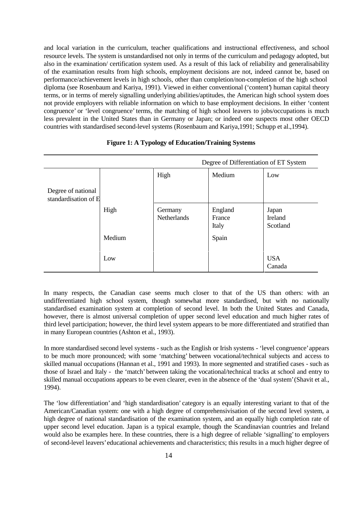and local variation in the curriculum, teacher qualifications and instructional effectiveness, and school resource levels. The system is unstandardised not only in terms of the curriculum and pedagogy adopted, but also in the examination/ certification system used. As a result of this lack of reliability and generalisability of the examination results from high schools, employment decisions are not, indeed cannot be, based on performance/achievement levels in high schools, other than completion/non-completion of the high school diploma (see Rosenbaum and Kariya, 1991). Viewed in either conventional ('content') human capital theory terms, or in terms of merely signalling underlying abilities/aptitudes, the American high school system does not provide employers with reliable information on which to base employment decisions. In either 'content congruence' or 'level congruence' terms, the matching of high school leavers to jobs/occupations is much less prevalent in the United States than in Germany or Japan; or indeed one suspects most other OECD countries with standardised second-level systems (Rosenbaum and Kariya,1991; Schupp et al.,1994).

|                                            |        | Degree of Differentiation of ET System |                            |                              |
|--------------------------------------------|--------|----------------------------------------|----------------------------|------------------------------|
|                                            |        | High                                   | Medium                     | Low                          |
| Degree of national<br>standardisation of E |        |                                        |                            |                              |
|                                            | High   | Germany<br><b>Netherlands</b>          | England<br>France<br>Italy | Japan<br>Ireland<br>Scotland |
|                                            | Medium |                                        | Spain                      |                              |
|                                            | Low    |                                        |                            | <b>USA</b><br>Canada         |

## **Figure 1: A Typology of Education/Training Systems**

In many respects, the Canadian case seems much closer to that of the US than others: with an undifferentiated high school system, though somewhat more standardised, but with no nationally standardised examination system at completion of second level. In both the United States and Canada, however, there is almost universal completion of upper second level education and much higher rates of third level participation; however, the third level system appears to be more differentiated and stratified than in many European countries (Ashton et al., 1993).

In more standardised second level systems - such as the English or Irish systems - 'level congruence' appears to be much more pronounced; with some 'matching' between vocational/technical subjects and access to skilled manual occupations (Hannan et al., 1991 and 1993). In more segmented and stratified cases - such as those of Israel and Italy - the 'match' between taking the vocational/technical tracks at school and entry to skilled manual occupations appears to be even clearer, even in the absence of the 'dual system' (Shavit et al., 1994).

The 'low differentiation' and 'high standardisation' category is an equally interesting variant to that of the American/Canadian system: one with a high degree of comprehensivisation of the second level system, a high degree of national standardisation of the examination system, and an equally high completion rate of upper second level education. Japan is a typical example, though the Scandinavian countries and Ireland would also be examples here. In these countries, there is a high degree of reliable 'signalling' to employers of second-level leavers' educational achievements and characteristics; this results in a much higher degree of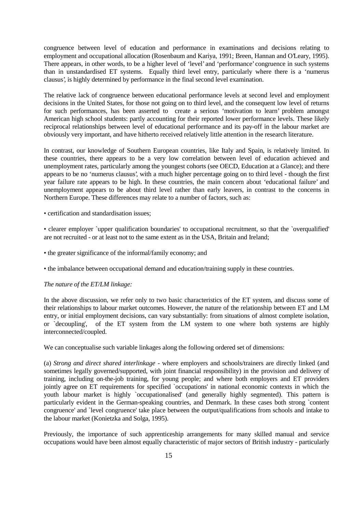congruence between level of education and performance in examinations and decisions relating to employment and occupational allocation (Rosenbaum and Kariya, 1991; Breen, Hannan and O'Leary, 1995). There appears, in other words, to be a higher level of 'level' and 'performance' congruence in such systems than in unstandardised ET systems. Equally third level entry, particularly where there is a 'numerus clausus', is highly determined by performance in the final second level examination.

The relative lack of congruence between educational performance levels at second level and employment decisions in the United States, for those not going on to third level, and the consequent low level of returns for such performances, has been asserted to create a serious 'motivation to learn' problem amongst American high school students: partly accounting for their reported lower performance levels. These likely reciprocal relationships between level of educational performance and its pay-off in the labour market are obviously very important, and have hitherto received relatively little attention in the research literature.

In contrast, our knowledge of Southern European countries, like Italy and Spain, is relatively limited. In these countries, there appears to be a very low correlation between level of education achieved and unemployment rates, particularly among the youngest cohorts (see OECD, Education at a Glance); and there appears to be no 'numerus clausus', with a much higher percentage going on to third level - though the first year failure rate appears to be high. In these countries, the main concern about 'educational failure' and unemployment appears to be about third level rather than early leavers, in contrast to the concerns in Northern Europe. These differences may relate to a number of factors, such as:

• certification and standardisation issues:

• clearer employer `upper qualification boundaries' to occupational recruitment, so that the `overqualified' are not recruited - or at least not to the same extent as in the USA, Britain and Ireland;

- the greater significance of the informal/family economy; and
- the imbalance between occupational demand and education/training supply in these countries.

## *The nature of the ET/LM linkage:*

In the above discussion, we refer only to two basic characteristics of the ET system, and discuss some of their relationships to labour market outcomes. However, the nature of the relationship between ET and LM entry, or initial employment decisions, can vary substantially: from situations of almost complete isolation, or `decoupling', of the ET system from the LM system to one where both systems are highly interconnected/coupled.

We can conceptualise such variable linkages along the following ordered set of dimensions:

(a) *Strong and direct shared interlinkage* - where employers and schools/trainers are directly linked (and sometimes legally governed/supported, with joint financial responsibility) in the provision and delivery of training, including on-the-job training, for young people; and where both employers and ET providers jointly agree on ET requirements for specified `occupations' in national economic contexts in which the youth labour market is highly `occupationalised' (and generally highly segmented). This pattern is particularly evident in the German-speaking countries, and Denmark. In these cases both strong `content congruence' and `level congruence' take place between the output/qualifications from schools and intake to the labour market (Konietzka and Solga, 1995).

Previously, the importance of such apprenticeship arrangements for many skilled manual and service occupations would have been almost equally characteristic of major sectors of British industry - particularly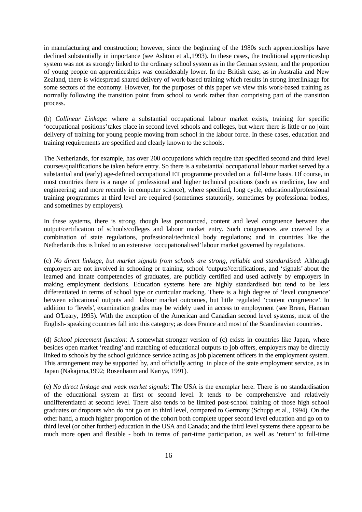in manufacturing and construction; however, since the beginning of the 1980s such apprenticeships have declined substantially in importance (see Ashton et al.,1993). In these cases, the traditional apprenticeship system was not as strongly linked to the ordinary school system as in the German system, and the proportion of young people on apprenticeships was considerably lower. In the British case, as in Australia and New Zealand, there is widespread shared delivery of work-based training which results in strong interlinkage for some sectors of the economy. However, for the purposes of this paper we view this work-based training as normally following the transition point from school to work rather than comprising part of the transition process.

(b) *Collinear Linkage*: where a substantial occupational labour market exists, training for specific 'occupational positions' takes place in second level schools and colleges, but where there is little or no joint delivery of training for young people moving from school in the labour force. In these cases, education and training requirements are specified and clearly known to the schools.

The Netherlands, for example, has over 200 occupations which require that specified second and third level courses/qualifications be taken before entry. So there is a substantial occupational labour market served by a substantial and (early) age-defined occupational ET programme provided on a full-time basis. Of course, in most countries there is a range of professional and higher technical positions (such as medicine, law and engineering; and more recently in computer science), where specified, long cycle, educational/professional training programmes at third level are required (sometimes statutorily, sometimes by professional bodies, and sometimes by employers).

In these systems, there is strong, though less pronounced, content and level congruence between the output/certification of schools/colleges and labour market entry. Such congruences are covered by a combination of state regulations, professional/technical body regulations; and in countries like the Netherlands this is linked to an extensive 'occupationalised' labour market governed by regulations.

(c) *No direct linkage, but market signals from schools are strong, reliable and standardised*: Although employers are not involved in schooling or training, school 'outputs'/certifications, and 'signals' about the learned and innate competencies of graduates, are publicly certified and used actively by employers in making employment decisions. Education systems here are highly standardised but tend to be less differentiated in terms of school type or curricular tracking. There is a high degree of 'level congruence' between educational outputs and labour market outcomes, but little regulated 'content congruence'. In addition to 'levels', examination grades may be widely used in access to employment (see Breen, Hannan and O'Leary, 1995). With the exception of the American and Canadian second level systems, most of the English- speaking countries fall into this category; as does France and most of the Scandinavian countries.

(d) *School placement function*: A somewhat stronger version of (c) exists in countries like Japan, where besides open market 'reading' and matching of educational outputs to job offers, employers may be directly linked to schools by the school guidance service acting as job placement officers in the employment system. This arrangement may be supported by, and officially acting in place of the state employment service, as in Japan (Nakajima,1992; Rosenbaum and Kariya, 1991).

(e) *No direct linkage and weak market signals*: The USA is the exemplar here. There is no standardisation of the educational system at first or second level. It tends to be comprehensive and relatively undifferentiated at second level. There also tends to be limited post-school training of those high school graduates or dropouts who do not go on to third level, compared to Germany (Schupp et al., 1994). On the other hand, a much higher proportion of the cohort both complete upper second level education and go on to third level (or other further) education in the USA and Canada; and the third level systems there appear to be much more open and flexible - both in terms of part-time participation, as well as 'return' to full-time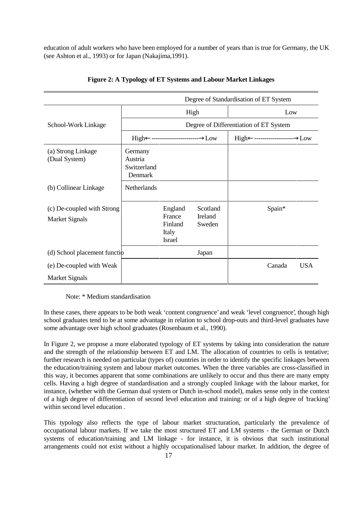education of adult workers who have been employed for a number of years than is true for Germany, the UK (see Ashton et al., 1993) or for Japan (Nakajima,1991).

|                                                     |                                              |                                                        | Degree of Standardisation of ET System |                      |  |  |
|-----------------------------------------------------|----------------------------------------------|--------------------------------------------------------|----------------------------------------|----------------------|--|--|
|                                                     | High                                         |                                                        |                                        | Low                  |  |  |
| School-Work Linkage                                 | Degree of Differentiation of ET System       |                                                        |                                        |                      |  |  |
|                                                     |                                              |                                                        |                                        |                      |  |  |
| (a) Strong Linkage<br>(Dual System)                 | Germany<br>Austria<br>Switzerland<br>Denmark |                                                        |                                        |                      |  |  |
| (b) Collinear Linkage                               | Netherlands                                  |                                                        |                                        |                      |  |  |
| (c) De-coupled with Strong<br><b>Market Signals</b> |                                              | England<br>France<br>Finland<br>Italy<br><b>Israel</b> | Scotland<br>Ireland<br>Sweden          | Spain*               |  |  |
| (d) School placement function                       |                                              |                                                        | Japan                                  |                      |  |  |
| (e) De-coupled with Weak                            |                                              |                                                        |                                        | <b>USA</b><br>Canada |  |  |
| <b>Market Signals</b>                               |                                              |                                                        |                                        |                      |  |  |

## **Figure 2: A Typology of ET Systems and Labour Market Linkages**

Note: \* Medium standardisation

In these cases, there appears to be both weak 'content congruence' and weak 'level congruence', though high school graduates tend to be at some advantage in relation to school drop-outs and third-level graduates have some advantage over high school graduates (Rosenbaum et al., 1990).

In Figure 2, we propose a more elaborated typology of ET systems by taking into consideration the nature and the strength of the relationship between ET and LM. The allocation of countries to cells is tentative; further research is needed on particular (types of) countries in order to identify the specific linkages between the education/training system and labour market outcomes. When the three variables are cross-classified in this way, it becomes apparent that some combinations are unlikely to occur and thus there are many empty cells. Having a high degree of standardisation and a strongly coupled linkage with the labour market, for instance, (whether with the German dual system or Dutch in-school model), makes sense only in the context of a high degree of differentiation of second level education and training: or of a high degree of 'tracking' within second level education

This typology also reflects the type of labour market structuration, particularly the prevalence of occupational labour markets. If we take the most structured ET and LM systems - the German or Dutch systems of education/training and LM linkage - for instance, it is obvious that such institutional arrangements could not exist without a highly occupationalised labour market. In addition, the degree of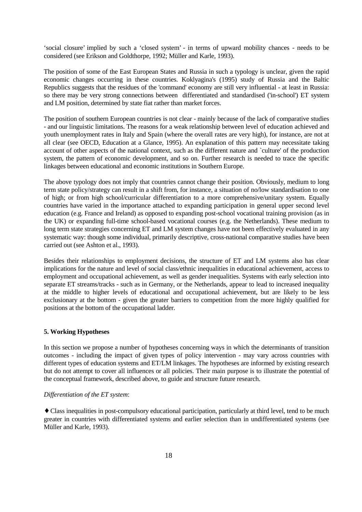'social closure' implied by such a 'closed system' - in terms of upward mobility chances - needs to be considered (see Erikson and Goldthorpe, 1992; Müller and Karle, 1993).

The position of some of the East European States and Russia in such a typology is unclear, given the rapid economic changes occurring in these countries. Koklyagina's (1995) study of Russia and the Baltic Republics suggests that the residues of the 'command' economy are still very influential - at least in Russia: so there may be very strong connections between differentiated and standardised ('in-school') ET system and LM position, determined by state fiat rather than market forces.

The position of southern European countries is not clear - mainly because of the lack of comparative studies - and our linguistic limitations. The reasons for a weak relationship between level of education achieved and youth unemployment rates in Italy and Spain (where the overall rates are very high), for instance, are not at all clear (see OECD, Education at a Glance, 1995). An explanation of this pattern may necessitate taking account of other aspects of the national context, such as the different nature and `culture' of the production system, the pattern of economic development, and so on. Further research is needed to trace the specific linkages between educational and economic institutions in Southern Europe.

The above typology does not imply that countries cannot change their position. Obviously, medium to long term state policy/strategy can result in a shift from, for instance, a situation of no/low standardisation to one of high; or from high school/curricular differentiation to a more comprehensive/unitary system. Equally countries have varied in the importance attached to expanding participation in general upper second level education (e.g. France and Ireland) as opposed to expanding post-school vocational training provision (as in the UK) or expanding full-time school-based vocational courses (e.g. the Netherlands). These medium to long term state strategies concerning ET and LM system changes have not been effectively evaluated in any systematic way: though some individual, primarily descriptive, cross-national comparative studies have been carried out (see Ashton et al., 1993).

Besides their relationships to employment decisions, the structure of ET and LM systems also has clear implications for the nature and level of social class/ethnic inequalities in educational achievement, access to employment and occupational achievement, as well as gender inequalities. Systems with early selection into separate ET streams/tracks - such as in Germany, or the Netherlands, appear to lead to increased inequality at the middle to higher levels of educational and occupational achievement, but are likely to be less exclusionary at the bottom - given the greater barriers to competition from the more highly qualified for positions at the bottom of the occupational ladder.

## **5. Working Hypotheses**

In this section we propose a number of hypotheses concerning ways in which the determinants of transition outcomes - including the impact of given types of policy intervention - may vary across countries with different types of education systems and ET/LM linkages. The hypotheses are informed by existing research but do not attempt to cover all influences or all policies. Their main purpose is to illustrate the potential of the conceptual framework, described above, to guide and structure future research.

## *Differentiation of the ET system*:

♦ Class inequalities in post-compulsory educational participation, particularly at third level, tend to be much greater in countries with differentiated systems and earlier selection than in undifferentiated systems (see Müller and Karle, 1993).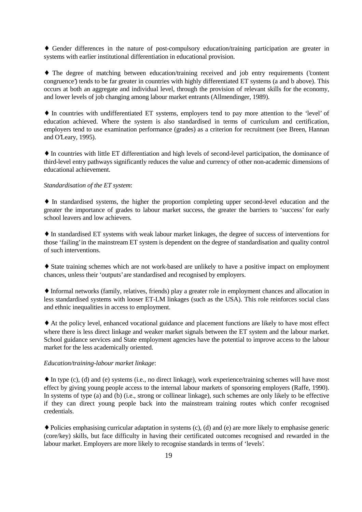♦ Gender differences in the nature of post-compulsory education/training participation are greater in systems with earlier institutional differentiation in educational provision.

♦ The degree of matching between education/training received and job entry requirements ('content congruence') tends to be far greater in countries with highly differentiated ET systems (a and b above). This occurs at both an aggregate and individual level, through the provision of relevant skills for the economy, and lower levels of job changing among labour market entrants (Allmendinger, 1989).

♦ In countries with undifferentiated ET systems, employers tend to pay more attention to the 'level' of education achieved. Where the system is also standardised in terms of curriculum and certification, employers tend to use examination performance (grades) as a criterion for recruitment (see Breen, Hannan and O'Leary, 1995).

♦ In countries with little ET differentiation and high levels of second-level participation, the dominance of third-level entry pathways significantly reduces the value and currency of other non-academic dimensions of educational achievement.

## *Standardisation of the ET system*:

♦ In standardised systems, the higher the proportion completing upper second-level education and the greater the importance of grades to labour market success, the greater the barriers to 'success' for early school leavers and low achievers.

♦ In standardised ET systems with weak labour market linkages, the degree of success of interventions for those 'failing' in the mainstream ET system is dependent on the degree of standardisation and quality control of such interventions.

♦ State training schemes which are not work-based are unlikely to have a positive impact on employment chances, unless their 'outputs' are standardised and recognised by employers.

♦ Informal networks (family, relatives, friends) play a greater role in employment chances and allocation in less standardised systems with looser ET-LM linkages (such as the USA). This role reinforces social class and ethnic inequalities in access to employment.

♦ At the policy level, enhanced vocational guidance and placement functions are likely to have most effect where there is less direct linkage and weaker market signals between the ET system and the labour market. School guidance services and State employment agencies have the potential to improve access to the labour market for the less academically oriented.

## *Education/training-labour market linkage*:

♦ In type (c), (d) and (e) systems (i.e., no direct linkage), work experience/training schemes will have most effect by giving young people access to the internal labour markets of sponsoring employers (Raffe, 1990). In systems of type (a) and (b) (i.e., strong or collinear linkage), such schemes are only likely to be effective if they can direct young people back into the mainstream training routes which confer recognised credentials.

♦ Policies emphasising curricular adaptation in systems (c), (d) and (e) are more likely to emphasise generic (core/key) skills, but face difficulty in having their certificated outcomes recognised and rewarded in the labour market. Employers are more likely to recognise standards in terms of 'levels'.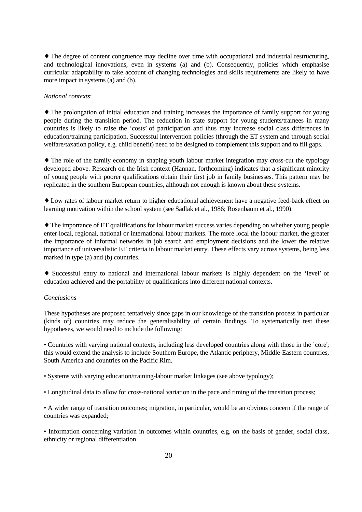♦ The degree of content congruence may decline over time with occupational and industrial restructuring, and technological innovations, even in systems (a) and (b). Consequently, policies which emphasise curricular adaptability to take account of changing technologies and skills requirements are likely to have more impact in systems (a) and (b).

## *National contexts*:

♦ The prolongation of initial education and training increases the importance of family support for young people during the transition period. The reduction in state support for young students/trainees in many countries is likely to raise the 'costs' of participation and thus may increase social class differences in education/training participation. Successful intervention policies (through the ET system and through social welfare/taxation policy, e.g. child benefit) need to be designed to complement this support and to fill gaps.

♦ The role of the family economy in shaping youth labour market integration may cross-cut the typology developed above. Research on the Irish context (Hannan, forthcoming) indicates that a significant minority of young people with poorer qualifications obtain their first job in family businesses. This pattern may be replicated in the southern European countries, although not enough is known about these systems.

♦ Low rates of labour market return to higher educational achievement have a negative feed-back effect on learning motivation within the school system (see Sadlak et al., 1986; Rosenbaum et al., 1990).

♦ The importance of ET qualifications for labour market success varies depending on whether young people enter local, regional, national or international labour markets. The more local the labour market, the greater the importance of informal networks in job search and employment decisions and the lower the relative importance of universalistic ET criteria in labour market entry. These effects vary across systems, being less marked in type (a) and (b) countries.

♦ Successful entry to national and international labour markets is highly dependent on the 'level' of education achieved and the portability of qualifications into different national contexts.

## *Conclusions*

These hypotheses are proposed tentatively since gaps in our knowledge of the transition process in particular (kinds of) countries may reduce the generalisability of certain findings. To systematically test these hypotheses, we would need to include the following:

• Countries with varying national contexts, including less developed countries along with those in the `core'; this would extend the analysis to include Southern Europe, the Atlantic periphery, Middle-Eastern countries, South America and countries on the Pacific Rim.

• Systems with varying education/training-labour market linkages (see above typology);

• Longitudinal data to allow for cross-national variation in the pace and timing of the transition process;

• A wider range of transition outcomes; migration, in particular, would be an obvious concern if the range of countries was expanded;

• Information concerning variation in outcomes within countries, e.g. on the basis of gender, social class, ethnicity or regional differentiation.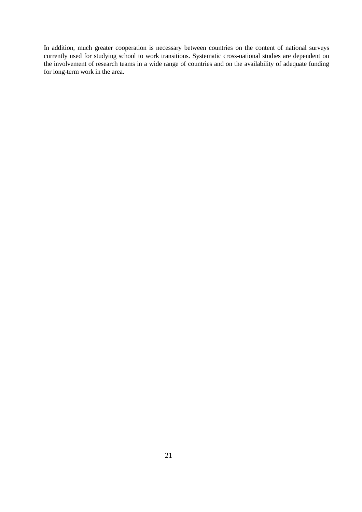In addition, much greater cooperation is necessary between countries on the content of national surveys currently used for studying school to work transitions. Systematic cross-national studies are dependent on the involvement of research teams in a wide range of countries and on the availability of adequate funding for long-term work in the area.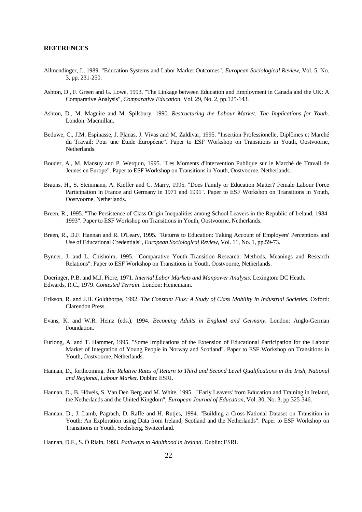#### **REFERENCES**

- Allmendinger, J., 1989. "Education Systems and Labor Market Outcomes", *European Sociological Review*, Vol. 5, No. 3, pp. 231-250.
- Ashton, D., F. Green and G. Lowe, 1993. "The Linkage between Education and Employment in Canada and the UK: A Comparative Analysis", *Comparative Education*, Vol. 29, No. 2, pp.125-143.
- Ashton, D., M. Maguire and M. Spilsbury, 1990. *Restructuring the Labour Market: The Implications for Youth*. London: Macmillan.
- Beduwe, C., J.M. Espinasse, J. Planas, J. Vivas and M. Zaldivar, 1995. "Insertion Professionelle, Diplômes et Marché du Travail: Pour une Étude Éuropéene". Paper to ESF Workshop on Transitions in Youth, Oostvoorne, Netherlands.
- Bouder, A., M. Mansuy and P. Werquin, 1995. "Les Moments d'Intervention Publique sur le Marché de Travail de Jeunes en Europe". Paper to ESF Workshop on Transitions in Youth, Oostvoorne, Netherlands.
- Brauns, H., S. Steinmann, A. Kieffer and C. Marry, 1995. "Does Family or Education Matter? Female Labour Force Participation in France and Germany in 1971 and 1991". Paper to ESF Workshop on Transitions in Youth, Oostvoorne, Netherlands.
- Breen, R., 1995. "The Persistence of Class Origin Inequalities among School Leavers in the Republic of Ireland, 1984- 1993". Paper to ESF Workshop on Transitions in Youth, Oostvoorne, Netherlands.
- Breen, R., D.F. Hannan and R. O'Leary, 1995. "Returns to Education: Taking Account of Employers' Perceptions and Use of Educational Credentials", *European Sociological Review*, Vol. 11, No. 1, pp.59-73.
- Bynner, J. and L. Chisholm, 1995. "Comparative Youth Transition Research: Methods, Meanings and Research Relations". Paper to ESF Workshop on Transitions in Youth, Oostvoorne, Netherlands.

Doeringer, P.B. and M.J. Piore, 1971. *Internal Labor Markets and Manpower Analysis*. Lexington: DC Heath. Edwards, R.C., 1979. *Contested Terrain*. London: Heinemann.

- Erikson, R. and J.H. Goldthorpe, 1992. *The Constant Flux: A Study of Class Mobility in Industrial Societies*. Oxford: Clarendon Press.
- Evans, K. and W.R. Heinz (eds.), 1994. *Becoming Adults in England and Germany*. London: Anglo-German Foundation.
- Furlong, A. and T. Hammer, 1995. "Some Implications of the Extension of Educational Participation for the Labour Market of Integration of Young People in Norway and Scotland". Paper to ESF Workshop on Transitions in Youth, Oostvoorne, Netherlands.
- Hannan, D., forthcoming. *The Relative Rates of Return to Third and Second Level Qualifications in the Irish, National and Regional, Labour Market*. Dublin: ESRI.
- Hannan, D., B. Hövels, S. Van Den Berg and M. White, 1995. "`Early Leavers' from Education and Training in Ireland, the Netherlands and the United Kingdom", *European Journal of Education*, Vol. 30, No. 3, pp.325-346.
- Hannan, D., J. Lamb, Pagrach, D. Raffe and H. Rutjes, 1994. "Building a Cross-National Dataset on Transition in Youth: An Exploration using Data from Ireland, Scotland and the Netherlands". Paper to ESF Workshop on Transitions in Youth, Seelisberg, Switzerland.

Hannan, D.F., S. Ó Riain, 1993. *Pathways to Adulthood in Ireland*. Dublin: ESRI.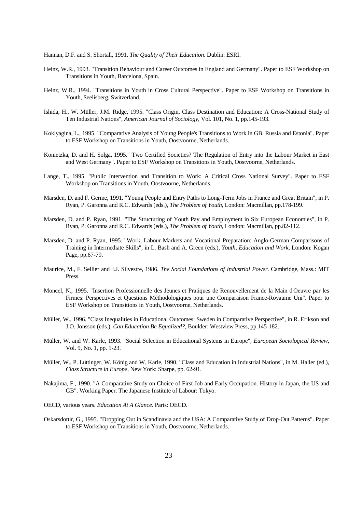Hannan, D.F. and S. Shortall, 1991. *The Quality of Their Education*. Dublin: ESRI.

- Heinz, W.R., 1993. "Transition Behaviour and Career Outcomes in England and Germany". Paper to ESF Workshop on Transitions in Youth, Barcelona, Spain.
- Heinz, W.R., 1994. "Transitions in Youth in Cross Cultural Perspective". Paper to ESF Workshop on Transitions in Youth, Seelisberg, Switzerland.
- Ishida, H., W. Müller, J.M. Ridge, 1995. "Class Origin, Class Destination and Education: A Cross-National Study of Ten Industrial Nations", *American Journal of Sociology*, Vol. 101, No. 1, pp.145-193.
- Koklyagina, L., 1995. "Comparative Analysis of Young People's Transitions to Work in GB. Russia and Estonia". Paper to ESF Workshop on Transitions in Youth, Oostvoorne, Netherlands.
- Konietzka, D. and H. Solga, 1995. "Two Certified Societies? The Regulation of Entry into the Labour Market in East and West Germany". Paper to ESF Workshop on Transitions in Youth, Oostvoorne, Netherlands.
- Lange, T., 1995. "Public Intervention and Transition to Work: A Critical Cross National Survey". Paper to ESF Workshop on Transitions in Youth, Oostvoorne, Netherlands.
- Marsden, D. and F. Germe, 1991. "Young People and Entry Paths to Long-Term Jobs in France and Great Britain", in P. Ryan, P. Garonna and R.C. Edwards (eds.), *The Problem of Youth*, London: Macmillan, pp.178-199.
- Marsden, D. and P. Ryan, 1991. "The Structuring of Youth Pay and Employment in Six European Economies", in P. Ryan, P. Garonna and R.C. Edwards (eds.), *The Problem of Youth*, London: Macmillan, pp.82-112.
- Marsden, D. and P. Ryan, 1995. "Work, Labour Markets and Vocational Preparation: Anglo-German Comparisons of Training in Intermediate Skills", in L. Bash and A. Green (eds.), *Youth, Education and Work*, London: Kogan Page, pp.67-79.
- Maurice, M., F. Sellier and J.J. Silvestre, 1986. *The Social Foundations of Industrial Power*. Cambridge, Mass.: MIT Press.
- Moncel, N., 1995. "Insertion Professionnelle des Jeunes et Pratiques de Renouvellement de la Main d'Oeuvre par les Firmes: Perspectives et Questions Méthodologiques pour une Comparaison France-Royaume Uni". Paper to ESF Workshop on Transitions in Youth, Oostvoorne, Netherlands.
- Müller, W., 1996. "Class Inequalities in Educational Outcomes: Sweden in Comparative Perspective", in R. Erikson and J.O. Jonsson (eds.), *Can Education Be Equalized?*, Boulder: Westview Press, pp.145-182.
- Müller, W. and W. Karle, 1993. "Social Selection in Educational Systems in Europe", *European Sociological Review*, Vol. 9, No. 1, pp. 1-23.
- Müller, W., P. Lüttinger, W. König and W. Karle, 1990. "Class and Education in Industrial Nations", in M. Haller (ed.), *Class Structure in Europe*, New York: Sharpe, pp. 62-91.
- Nakajima, F., 1990. "A Comparative Study on Choice of First Job and Early Occupation. History in Japan, the US and GB". Working Paper. The Japanese Institute of Labour: Tokyo.
- OECD, various years. *Education At A Glance*. Paris: OECD.
- Oskarsdottir, G., 1995. "Dropping Out in Scandinavia and the USA: A Comparative Study of Drop-Out Patterns". Paper to ESF Workshop on Transitions in Youth, Oostvoorne, Netherlands.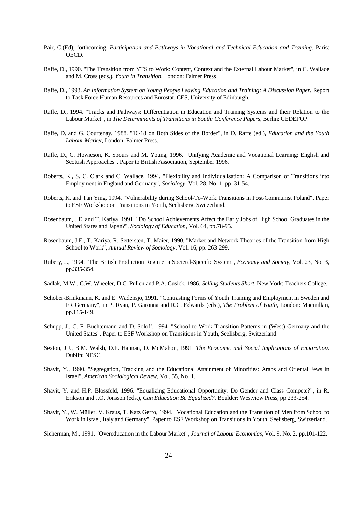- Pair, C.(Ed), forthcoming. *Participation and Pathways in Vocational and Technical Education and Training*. Paris: OECD.
- Raffe, D., 1990. "The Transition from YTS to Work: Content, Context and the External Labour Market", in C. Wallace and M. Cross (eds.), *Youth in Transition*, London: Falmer Press.
- Raffe, D., 1993. *An Information System on Young People Leaving Education and Training: A Discussion Paper*. Report to Task Force Human Resources and Eurostat. CES, University of Edinburgh.
- Raffe, D., 1994. "Tracks and Pathways: Differentiation in Education and Training Systems and their Relation to the Labour Market", in *The Determinants of Transitions in Youth: Conference Papers*, Berlin: CEDEFOP.
- Raffe, D. and G. Courtenay, 1988. "16-18 on Both Sides of the Border", in D. Raffe (ed.), *Education and the Youth Labour Market*, London: Falmer Press.
- Raffe, D., C. Howieson, K. Spours and M. Young, 1996. "Unifying Academic and Vocational Learning: English and Scottish Approaches". Paper to British Association, September 1996.
- Roberts, K., S. C. Clark and C. Wallace, 1994. "Flexibility and Individualisation: A Comparison of Transitions into Employment in England and Germany", *Sociology*, Vol. 28, No. 1, pp. 31-54.
- Roberts, K. and Tan Ying, 1994. "Vulnerability during School-To-Work Transitions in Post-Communist Poland". Paper to ESF Workshop on Transitions in Youth, Seelisberg, Switzerland.
- Rosenbaum, J.E. and T. Kariya, 1991. "Do School Achievements Affect the Early Jobs of High School Graduates in the United States and Japan?", *Sociology of Education*, Vol. 64, pp.78-95.
- Rosenbaum, J.E., T. Kariya, R. Settersten, T. Maier, 1990. "Market and Network Theories of the Transition from High School to Work", *Annual Review of Sociology*, Vol. 16, pp. 263-299.
- Rubery, J., 1994. "The British Production Regime: a Societal-Specific System", *Economy and Society*, Vol. 23, No. 3, pp.335-354.
- Sadlak, M.W., C.W. Wheeler, D.C. Pullen and P.A. Cusick, 1986. *Selling Students Short*. New York: Teachers College.
- Schober-Brinkmann, K. and E. Wadensjö, 1991. "Contrasting Forms of Youth Training and Employment in Sweden and FR Germany", in P. Ryan, P. Garonna and R.C. Edwards (eds.), *The Problem of Youth*, London: Macmillan, pp.115-149.
- Schupp, J., C. F. Buchtemann and D. Soloff, 1994. "School to Work Transition Patterns in (West) Germany and the United States". Paper to ESF Workshop on Transitions in Youth, Seelisberg, Switzerland.
- Sexton, J.J., B.M. Walsh, D.F. Hannan, D. McMahon, 1991. *The Economic and Social Implications of Emigration*. Dublin: NESC.
- Shavit, Y., 1990. "Segregation, Tracking and the Educational Attainment of Minorities: Arabs and Oriental Jews in Israel", *American Sociological Review*, Vol. 55, No. 1.
- Shavit, Y. and H.P. Blossfeld, 1996. "Equalizing Educational Opportunity: Do Gender and Class Compete?", in R. Erikson and J.O. Jonsson (eds.), *Can Education Be Equalized?*, Boulder: Westview Press, pp.233-254.
- Shavit, Y., W. Müller, V. Kraus, T. Katz Gerro, 1994. "Vocational Education and the Transition of Men from School to Work in Israel, Italy and Germany". Paper to ESF Workshop on Transitions in Youth, Seelisberg, Switzerland.
- Sicherman, M., 1991. "Overeducation in the Labour Market", *Journal of Labour Economics*, Vol. 9, No. 2, pp.101-122.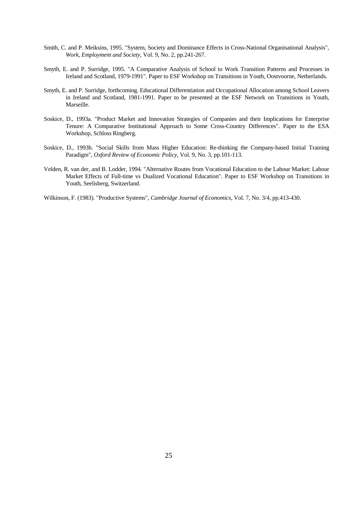- Smith, C. and P. Meiksins, 1995. "System, Society and Dominance Effects in Cross-National Organisational Analysis", *Work, Employment and Society*, Vol. 9, No. 2, pp.241-267.
- Smyth, E. and P. Surridge, 1995. "A Comparative Analysis of School to Work Transition Patterns and Processes in Ireland and Scotland, 1979-1991". Paper to ESF Workshop on Transitions in Youth, Oostvoorne, Netherlands.
- Smyth, E. and P. Surridge, forthcoming. Educational Differentiation and Occupational Allocation among School Leavers in Ireland and Scotland, 1981-1991. Paper to be presented at the ESF Network on Transitions in Youth, Marseille.
- Soskice, D., 1993a. "Product Market and Innovation Strategies of Companies and their Implications for Enterprise Tenure: A Comparative Institutional Approach to Some Cross-Country Differences". Paper to the ESA Workshop, Schloss Ringberg.
- Soskice, D., 1993b. "Social Skills from Mass Higher Education: Re-thinking the Company-based Initial Training Paradigm", *Oxford Review of Economic Policy*, Vol. 9, No. 3, pp.101-113.
- Velden, R. van der, and B. Lodder, 1994. "Alternative Routes from Vocational Education to the Labour Market: Labour Market Effects of Full-time vs Dualized Vocational Education". Paper to ESF Workshop on Transitions in Youth, Seelisberg, Switzerland.

Wilkinson, F. (1983). "Productive Systems", *Cambridge Journal of Economics*, Vol. 7, No. 3/4, pp.413-430.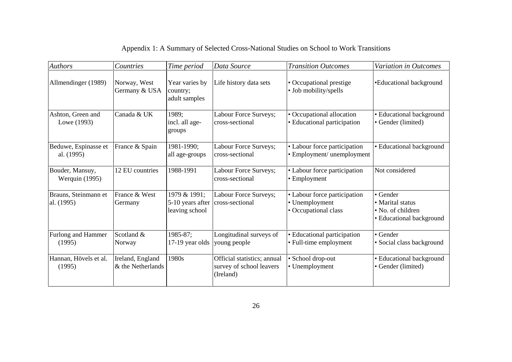| <b>Authors</b>                     | Countries                             | Time period                                        | Data Source                                                          | <b>Transition Outcomes</b>                                             | Variation in Outcomes                                                         |
|------------------------------------|---------------------------------------|----------------------------------------------------|----------------------------------------------------------------------|------------------------------------------------------------------------|-------------------------------------------------------------------------------|
| Allmendinger (1989)                | Norway, West<br>Germany & USA         | Year varies by<br>country;<br>adult samples        | Life history data sets                                               | • Occupational prestige<br>• Job mobility/spells                       | •Educational background                                                       |
| Ashton, Green and<br>Lowe (1993)   | Canada & UK                           | 1989;<br>incl. all age-<br>groups                  | Labour Force Surveys;<br>cross-sectional                             | • Occupational allocation<br>• Educational participation               | · Educational background<br>• Gender (limited)                                |
| Beduwe, Espinasse et<br>al. (1995) | France & Spain                        | 1981-1990;<br>all age-groups                       | Labour Force Surveys;<br>cross-sectional                             | • Labour force participation<br>• Employment/ unemployment             | • Educational background                                                      |
| Bouder, Mansuy,<br>Werquin (1995)  | 12 EU countries                       | 1988-1991                                          | Labour Force Surveys;<br>cross-sectional                             | • Labour force participation<br>• Employment                           | Not considered                                                                |
| Brauns, Steinmann et<br>al. (1995) | France & West<br>Germany              | 1979 & 1991;<br>5-10 years after<br>leaving school | Labour Force Surveys;<br>cross-sectional                             | • Labour force participation<br>• Unemployment<br>• Occupational class | • Gender<br>• Marital status<br>• No. of children<br>• Educational background |
| Furlong and Hammer<br>(1995)       | Scotland &<br>Norway                  | 1985-87;<br>17-19 year olds                        | Longitudinal surveys of<br>young people                              | • Educational participation<br>• Full-time employment                  | • Gender<br>• Social class background                                         |
| Hannan, Hövels et al.<br>(1995)    | Ireland, England<br>& the Netherlands | 1980s                                              | Official statistics; annual<br>survey of school leavers<br>(Ireland) | · School drop-out<br>• Unemployment                                    | · Educational background<br>• Gender (limited)                                |

# Appendix 1: A Summary of Selected Cross-National Studies on School to Work Transitions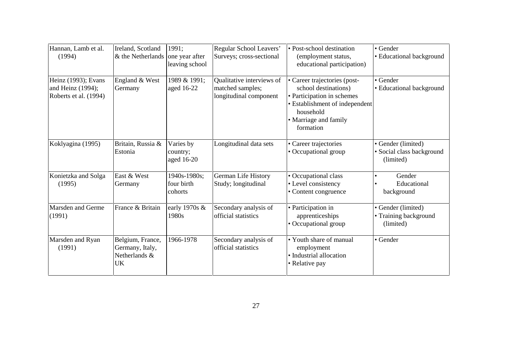| Hannan, Lamb et al.<br>(1994)                                     | Ireland, Scotland<br>& the Netherlands                     | 1991:<br>one year after<br>leaving school | Regular School Leavers'<br>Surveys; cross-sectional                     | • Post-school destination<br>(employment status,<br>educational participation)                                                                                          | • Gender<br>• Educational background                         |
|-------------------------------------------------------------------|------------------------------------------------------------|-------------------------------------------|-------------------------------------------------------------------------|-------------------------------------------------------------------------------------------------------------------------------------------------------------------------|--------------------------------------------------------------|
| Heinz (1993); Evans<br>and Heinz (1994);<br>Roberts et al. (1994) | England & West<br>Germany                                  | 1989 & 1991;<br>aged 16-22                | Qualitative interviews of<br>matched samples;<br>longitudinal component | • Career trajectories (post-<br>school destinations)<br>• Participation in schemes<br>• Establishment of independent<br>household<br>• Marriage and family<br>formation | • Gender<br>· Educational background                         |
| Koklyagina (1995)                                                 | Britain, Russia &<br>Estonia                               | Varies by<br>country;<br>aged 16-20       | Longitudinal data sets                                                  | • Career trajectories<br>• Occupational group                                                                                                                           | • Gender (limited)<br>· Social class background<br>(limited) |
| Konietzka and Solga<br>(1995)                                     | East & West<br>Germany                                     | 1940s-1980s;<br>four birth<br>cohorts     | German Life History<br>Study; longitudinal                              | • Occupational class<br>• Level consistency<br>• Content congruence                                                                                                     | Gender<br>Educational<br>background                          |
| Marsden and Germe<br>(1991)                                       | France & Britain                                           | early 1970s $\&$<br>1980s                 | Secondary analysis of<br>official statistics                            | • Participation in<br>apprenticeships<br>• Occupational group                                                                                                           | • Gender (limited)<br>• Training background<br>(limited)     |
| Marsden and Ryan<br>(1991)                                        | Belgium, France,<br>Germany, Italy,<br>Netherlands &<br>UK | 1966-1978                                 | Secondary analysis of<br>official statistics                            | • Youth share of manual<br>employment<br>· Industrial allocation<br>• Relative pay                                                                                      | • Gender                                                     |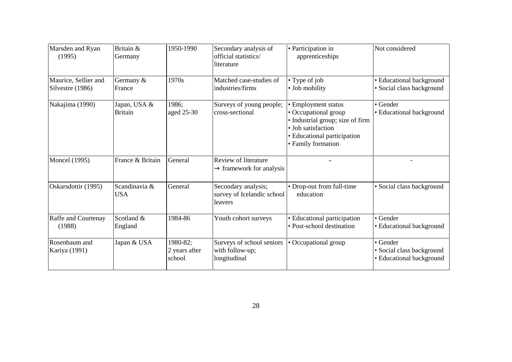| Marsden and Ryan<br>(1995)               | Britain &<br>Germany           | 1950-1990                           | Secondary analysis of<br>official statistics/<br>literature  | • Participation in<br>apprenticeships                                                                                                                      | Not considered                                                    |
|------------------------------------------|--------------------------------|-------------------------------------|--------------------------------------------------------------|------------------------------------------------------------------------------------------------------------------------------------------------------------|-------------------------------------------------------------------|
| Maurice, Sellier and<br>Silvestre (1986) | Germany &<br>France            | 1970s                               | Matched case-studies of<br>industries/firms                  | • Type of job<br>• Job mobility                                                                                                                            | • Educational background<br>· Social class background             |
| Nakajima (1990)                          | Japan, USA &<br><b>Britain</b> | 1986:<br>aged 25-30                 | Surveys of young people;<br>cross-sectional                  | • Employment status<br>• Occupational group<br>• Industrial group; size of firm<br>• Job satisfaction<br>• Educational participation<br>• Family formation | • Gender<br>• Educational background                              |
| <b>Moncel</b> (1995)                     | France & Britain               | General                             | Review of literature<br>$\rightarrow$ framework for analysis |                                                                                                                                                            |                                                                   |
| Oskarsdottir (1995)                      | Scandinavia &<br><b>USA</b>    | General                             | Secondary analysis;<br>survey of Icelandic school<br>leavers | • Drop-out from full-time<br>education                                                                                                                     | · Social class background                                         |
| Raffe and Courtenay<br>(1988)            | Scotland &<br>England          | 1984-86                             | Youth cohort surveys                                         | · Educational participation<br>· Post-school destination                                                                                                   | • Gender<br>• Educational background                              |
| Rosenbaum and<br>Kariya (1991)           | Japan & USA                    | 1980-82;<br>2 years after<br>school | Surveys of school seniors<br>with follow-up;<br>longitudinal | • Occupational group                                                                                                                                       | • Gender<br>• Social class background<br>• Educational background |